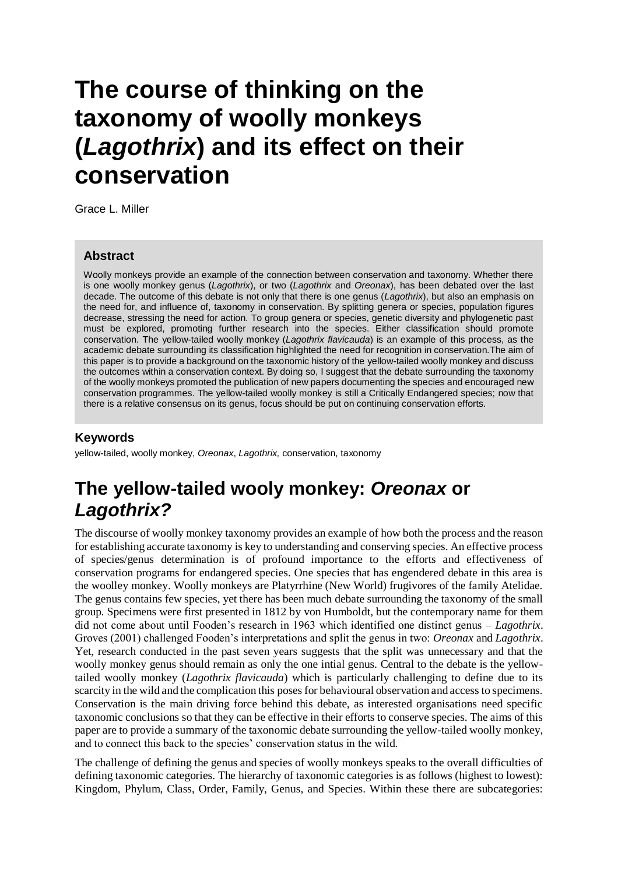# **The course of thinking on the taxonomy of woolly monkeys (***Lagothrix***) and its effect on their conservation**

Grace L. Miller

#### **Abstract**

Woolly monkeys provide an example of the connection between conservation and taxonomy. Whether there is one woolly monkey genus (*Lagothrix*), or two (*Lagothrix* and *Oreonax*), has been debated over the last decade. The outcome of this debate is not only that there is one genus (*Lagothrix*), but also an emphasis on the need for, and influence of, taxonomy in conservation. By splitting genera or species, population figures decrease, stressing the need for action. To group genera or species, genetic diversity and phylogenetic past must be explored, promoting further research into the species. Either classification should promote conservation. The yellow-tailed woolly monkey (*Lagothrix flavicauda*) is an example of this process, as the academic debate surrounding its classification highlighted the need for recognition in conservation.The aim of this paper is to provide a background on the taxonomic history of the yellow-tailed woolly monkey and discuss the outcomes within a conservation context. By doing so, I suggest that the debate surrounding the taxonomy of the woolly monkeys promoted the publication of new papers documenting the species and encouraged new conservation programmes. The yellow-tailed woolly monkey is still a Critically Endangered species; now that there is a relative consensus on its genus, focus should be put on continuing conservation efforts.

### **Keywords**

yellow-tailed, woolly monkey, *Oreonax*, *Lagothrix,* conservation, taxonomy

## **The yellow-tailed wooly monkey:** *Oreonax* **or**  *Lagothrix?*

The discourse of woolly monkey taxonomy provides an example of how both the process and the reason for establishing accurate taxonomy is key to understanding and conserving species. An effective process of species/genus determination is of profound importance to the efforts and effectiveness of conservation programs for endangered species. One species that has engendered debate in this area is the woolley monkey. Woolly monkeys are Platyrrhine (New World) frugivores of the family Atelidae. The genus contains few species, yet there has been much debate surrounding the taxonomy of the small group. Specimens were first presented in 1812 by von Humboldt, but the contemporary name for them did not come about until Fooden's research in 1963 which identified one distinct genus – *Lagothrix*. Groves (2001) challenged Fooden's interpretations and split the genus in two: *Oreonax* and *Lagothrix*. Yet, research conducted in the past seven years suggests that the split was unnecessary and that the woolly monkey genus should remain as only the one intial genus. Central to the debate is the yellowtailed woolly monkey (*Lagothrix flavicauda*) which is particularly challenging to define due to its scarcity in the wild and the complication this poses for behavioural observation and access to specimens. Conservation is the main driving force behind this debate, as interested organisations need specific taxonomic conclusions so that they can be effective in their efforts to conserve species. The aims of this paper are to provide a summary of the taxonomic debate surrounding the yellow-tailed woolly monkey, and to connect this back to the species' conservation status in the wild.

The challenge of defining the genus and species of woolly monkeys speaks to the overall difficulties of defining taxonomic categories. The hierarchy of taxonomic categories is as follows (highest to lowest): Kingdom, Phylum, Class, Order, Family, Genus, and Species. Within these there are subcategories: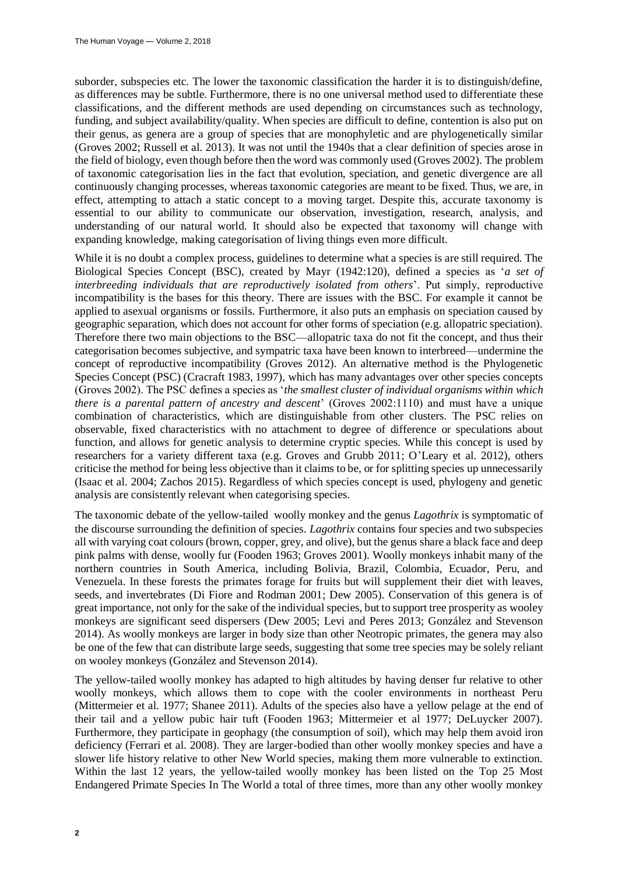suborder, subspecies etc. The lower the taxonomic classification the harder it is to distinguish/define, as differences may be subtle. Furthermore, there is no one universal method used to differentiate these classifications, and the different methods are used depending on circumstances such as technology, funding, and subject availability/quality. When species are difficult to define, contention is also put on their genus, as genera are a group of species that are monophyletic and are phylogenetically similar (Groves 2002; Russell et al. 2013). It was not until the 1940s that a clear definition of species arose in the field of biology, even though before then the word was commonly used (Groves 2002). The problem of taxonomic categorisation lies in the fact that evolution, speciation, and genetic divergence are all continuously changing processes, whereas taxonomic categories are meant to be fixed. Thus, we are, in effect, attempting to attach a static concept to a moving target. Despite this, accurate taxonomy is essential to our ability to communicate our observation, investigation, research, analysis, and understanding of our natural world. It should also be expected that taxonomy will change with expanding knowledge, making categorisation of living things even more difficult.

While it is no doubt a complex process, guidelines to determine what a species is are still required. The Biological Species Concept (BSC), created by Mayr (1942:120), defined a species as '*a set of interbreeding individuals that are reproductively isolated from others*'. Put simply, reproductive incompatibility is the bases for this theory. There are issues with the BSC. For example it cannot be applied to asexual organisms or fossils. Furthermore, it also puts an emphasis on speciation caused by geographic separation, which does not account for other forms of speciation (e.g. allopatric speciation). Therefore there two main objections to the BSC—allopatric taxa do not fit the concept, and thus their categorisation becomes subjective, and sympatric taxa have been known to interbreed—undermine the concept of reproductive incompatibility (Groves 2012). An alternative method is the Phylogenetic Species Concept (PSC) (Cracraft 1983, 1997), which has many advantages over other species concepts (Groves 2002). The PSC defines a species as '*the smallest cluster of individual organisms within which there is a parental pattern of ancestry and descent*' (Groves 2002:1110) and must have a unique combination of characteristics, which are distinguishable from other clusters. The PSC relies on observable, fixed characteristics with no attachment to degree of difference or speculations about function, and allows for genetic analysis to determine cryptic species. While this concept is used by researchers for a variety different taxa (e.g. Groves and Grubb 2011; O'Leary et al. 2012), others criticise the method for being less objective than it claims to be, or for splitting species up unnecessarily (Isaac et al. 2004; Zachos 2015). Regardless of which species concept is used, phylogeny and genetic analysis are consistently relevant when categorising species.

The taxonomic debate of the yellow-tailed woolly monkey and the genus *Lagothrix* is symptomatic of the discourse surrounding the definition of species. *Lagothrix* contains four species and two subspecies all with varying coat colours (brown, copper, grey, and olive), but the genus share a black face and deep pink palms with dense, woolly fur (Fooden 1963; Groves 2001). Woolly monkeys inhabit many of the northern countries in South America, including Bolivia, Brazil, Colombia, Ecuador, Peru, and Venezuela. In these forests the primates forage for fruits but will supplement their diet with leaves, seeds, and invertebrates (Di Fiore and Rodman 2001; Dew 2005). Conservation of this genera is of great importance, not only for the sake of the individual species, but to support tree prosperity as wooley monkeys are significant seed dispersers (Dew 2005; Levi and Peres 2013; González and Stevenson 2014). As woolly monkeys are larger in body size than other Neotropic primates, the genera may also be one of the few that can distribute large seeds, suggesting that some tree species may be solely reliant on wooley monkeys (González and Stevenson 2014).

The yellow-tailed woolly monkey has adapted to high altitudes by having denser fur relative to other woolly monkeys, which allows them to cope with the cooler environments in northeast Peru (Mittermeier et al. 1977; Shanee 2011). Adults of the species also have a yellow pelage at the end of their tail and a yellow pubic hair tuft (Fooden 1963; Mittermeier et al 1977; DeLuycker 2007). Furthermore, they participate in geophagy (the consumption of soil), which may help them avoid iron deficiency (Ferrari et al. 2008). They are larger-bodied than other woolly monkey species and have a slower life history relative to other New World species, making them more vulnerable to extinction. Within the last 12 years, the yellow-tailed woolly monkey has been listed on the Top 25 Most Endangered Primate Species In The World a total of three times, more than any other woolly monkey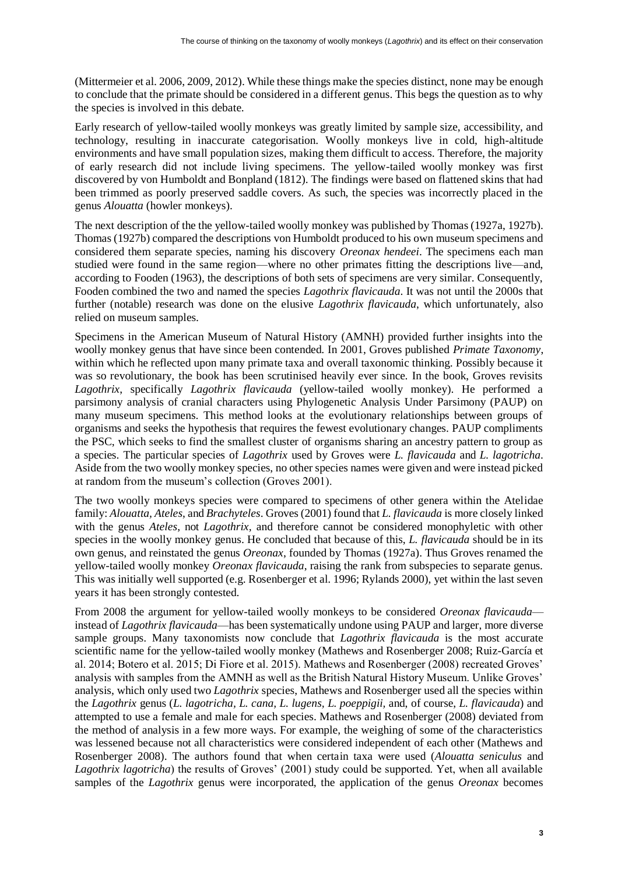(Mittermeier et al. 2006, 2009, 2012). While these things make the species distinct, none may be enough to conclude that the primate should be considered in a different genus. This begs the question as to why the species is involved in this debate.

Early research of yellow-tailed woolly monkeys was greatly limited by sample size, accessibility, and technology, resulting in inaccurate categorisation. Woolly monkeys live in cold, high-altitude environments and have small population sizes, making them difficult to access. Therefore, the majority of early research did not include living specimens. The yellow-tailed woolly monkey was first discovered by von Humboldt and Bonpland (1812). The findings were based on flattened skins that had been trimmed as poorly preserved saddle covers. As such, the species was incorrectly placed in the genus *Alouatta* (howler monkeys).

The next description of the the yellow-tailed woolly monkey was published by Thomas (1927a, 1927b). Thomas (1927b) compared the descriptions von Humboldt produced to his own museum specimens and considered them separate species, naming his discovery *Oreonax hendeei*. The specimens each man studied were found in the same region—where no other primates fitting the descriptions live—and, according to Fooden (1963), the descriptions of both sets of specimens are very similar. Consequently, Fooden combined the two and named the species *Lagothrix flavicauda*. It was not until the 2000s that further (notable) research was done on the elusive *Lagothrix flavicauda*, which unfortunately, also relied on museum samples.

Specimens in the American Museum of Natural History (AMNH) provided further insights into the woolly monkey genus that have since been contended. In 2001, Groves published *Primate Taxonomy*, within which he reflected upon many primate taxa and overall taxonomic thinking. Possibly because it was so revolutionary, the book has been scrutinised heavily ever since. In the book, Groves revisits *Lagothrix*, specifically *Lagothrix flavicauda* (yellow-tailed woolly monkey). He performed a parsimony analysis of cranial characters using Phylogenetic Analysis Under Parsimony (PAUP) on many museum specimens. This method looks at the evolutionary relationships between groups of organisms and seeks the hypothesis that requires the fewest evolutionary changes. PAUP compliments the PSC, which seeks to find the smallest cluster of organisms sharing an ancestry pattern to group as a species. The particular species of *Lagothrix* used by Groves were *L. flavicauda* and *L. lagotricha*. Aside from the two woolly monkey species, no other species names were given and were instead picked at random from the museum's collection (Groves 2001).

The two woolly monkeys species were compared to specimens of other genera within the Atelidae family: *Alouatta, Ateles*, and *Brachyteles*. Groves (2001) found that *L. flavicauda* is more closely linked with the genus *Ateles*, not *Lagothrix,* and therefore cannot be considered monophyletic with other species in the woolly monkey genus. He concluded that because of this, *L. flavicauda* should be in its own genus, and reinstated the genus *Oreonax*, founded by Thomas (1927a). Thus Groves renamed the yellow-tailed woolly monkey *Oreonax flavicauda*, raising the rank from subspecies to separate genus. This was initially well supported (e.g. Rosenberger et al. 1996; Rylands 2000), yet within the last seven years it has been strongly contested.

From 2008 the argument for yellow-tailed woolly monkeys to be considered *Oreonax flavicauda* instead of *Lagothrix flavicauda*—has been systematically undone using PAUP and larger, more diverse sample groups. Many taxonomists now conclude that *Lagothrix flavicauda* is the most accurate scientific name for the yellow-tailed woolly monkey (Mathews and Rosenberger 2008; Ruiz-García et al. 2014; Botero et al. 2015; Di Fiore et al. 2015). Mathews and Rosenberger (2008) recreated Groves' analysis with samples from the AMNH as well as the British Natural History Museum. Unlike Groves' analysis, which only used two *Lagothrix* species, Mathews and Rosenberger used all the species within the *Lagothrix* genus (*L. lagotricha, L. cana, L. lugens, L. poeppigii,* and, of course, *L. flavicauda*) and attempted to use a female and male for each species. Mathews and Rosenberger (2008) deviated from the method of analysis in a few more ways. For example, the weighing of some of the characteristics was lessened because not all characteristics were considered independent of each other (Mathews and Rosenberger 2008). The authors found that when certain taxa were used (*Alouatta seniculus* and *Lagothrix lagotricha*) the results of Groves' (2001) study could be supported. Yet, when all available samples of the *Lagothrix* genus were incorporated, the application of the genus *Oreonax* becomes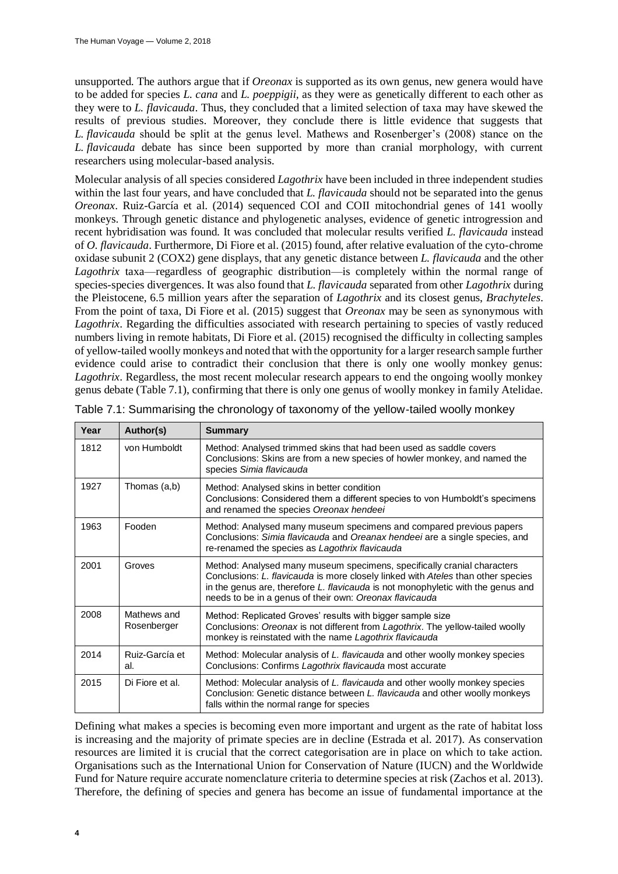unsupported. The authors argue that if *Oreonax* is supported as its own genus, new genera would have to be added for species *L. cana* and *L. poeppigii*, as they were as genetically different to each other as they were to *L. flavicauda*. Thus, they concluded that a limited selection of taxa may have skewed the results of previous studies. Moreover, they conclude there is little evidence that suggests that *L. flavicauda* should be split at the genus level. Mathews and Rosenberger's (2008) stance on the *L. flavicauda* debate has since been supported by more than cranial morphology, with current researchers using molecular-based analysis.

Molecular analysis of all species considered *Lagothrix* have been included in three independent studies within the last four years, and have concluded that *L. flavicauda* should not be separated into the genus *Oreonax*. Ruiz-García et al. (2014) sequenced COI and COII mitochondrial genes of 141 woolly monkeys. Through genetic distance and phylogenetic analyses, evidence of genetic introgression and recent hybridisation was found. It was concluded that molecular results verified *L. flavicauda* instead of *O. flavicauda*. Furthermore, Di Fiore et al. (2015) found, after relative evaluation of the cyto-chrome oxidase subunit 2 (COX2) gene displays, that any genetic distance between *L. flavicauda* and the other *Lagothrix* taxa—regardless of geographic distribution—is completely within the normal range of species-species divergences. It was also found that *L. flavicauda* separated from other *Lagothrix* during the Pleistocene, 6.5 million years after the separation of *Lagothrix* and its closest genus, *Brachyteles*. From the point of taxa, Di Fiore et al. (2015) suggest that *Oreonax* may be seen as synonymous with *Lagothrix*. Regarding the difficulties associated with research pertaining to species of vastly reduced numbers living in remote habitats, Di Fiore et al. (2015) recognised the difficulty in collecting samples of yellow-tailed woolly monkeys and noted that with the opportunity for a larger research sample further evidence could arise to contradict their conclusion that there is only one woolly monkey genus: *Lagothrix*. Regardless, the most recent molecular research appears to end the ongoing woolly monkey genus debate (Table 7.1), confirming that there is only one genus of woolly monkey in family Atelidae.

| Year | Author(s)                  | <b>Summary</b>                                                                                                                                                                                                                                                                                             |  |  |
|------|----------------------------|------------------------------------------------------------------------------------------------------------------------------------------------------------------------------------------------------------------------------------------------------------------------------------------------------------|--|--|
| 1812 | von Humboldt               | Method: Analysed trimmed skins that had been used as saddle covers<br>Conclusions: Skins are from a new species of howler monkey, and named the<br>species Simia flavicauda                                                                                                                                |  |  |
| 1927 | Thomas (a,b)               | Method: Analysed skins in better condition<br>Conclusions: Considered them a different species to von Humboldt's specimens<br>and renamed the species Oreonax hendeei                                                                                                                                      |  |  |
| 1963 | Fooden                     | Method: Analysed many museum specimens and compared previous papers<br>Conclusions: Simia flavicauda and Oreanax hendeei are a single species, and<br>re-renamed the species as Lagothrix flavicauda                                                                                                       |  |  |
| 2001 | Groves                     | Method: Analysed many museum specimens, specifically cranial characters<br>Conclusions: L. flavicauda is more closely linked with Ateles than other species<br>in the genus are, therefore L. flavicauda is not monophyletic with the genus and<br>needs to be in a genus of their own: Oreonax flavicauda |  |  |
| 2008 | Mathews and<br>Rosenberger | Method: Replicated Groves' results with bigger sample size<br>Conclusions: Oreonax is not different from Lagothrix. The yellow-tailed woolly<br>monkey is reinstated with the name Lagothrix flavicauda                                                                                                    |  |  |
| 2014 | Ruiz-García et<br>al.      | Method: Molecular analysis of L. flavicauda and other woolly monkey species<br>Conclusions: Confirms Lagothrix flavicauda most accurate                                                                                                                                                                    |  |  |
| 2015 | Di Fiore et al.            | Method: Molecular analysis of L. flavicauda and other woolly monkey species<br>Conclusion: Genetic distance between L. flavicauda and other woolly monkeys<br>falls within the normal range for species                                                                                                    |  |  |

| Table 7.1: Summarising the chronology of taxonomy of the yellow-tailed woolly monkey |  |  |
|--------------------------------------------------------------------------------------|--|--|

Defining what makes a species is becoming even more important and urgent as the rate of habitat loss is increasing and the majority of primate species are in decline (Estrada et al. 2017). As conservation resources are limited it is crucial that the correct categorisation are in place on which to take action. Organisations such as the International Union for Conservation of Nature (IUCN) and the Worldwide Fund for Nature require accurate nomenclature criteria to determine species at risk (Zachos et al. 2013). Therefore, the defining of species and genera has become an issue of fundamental importance at the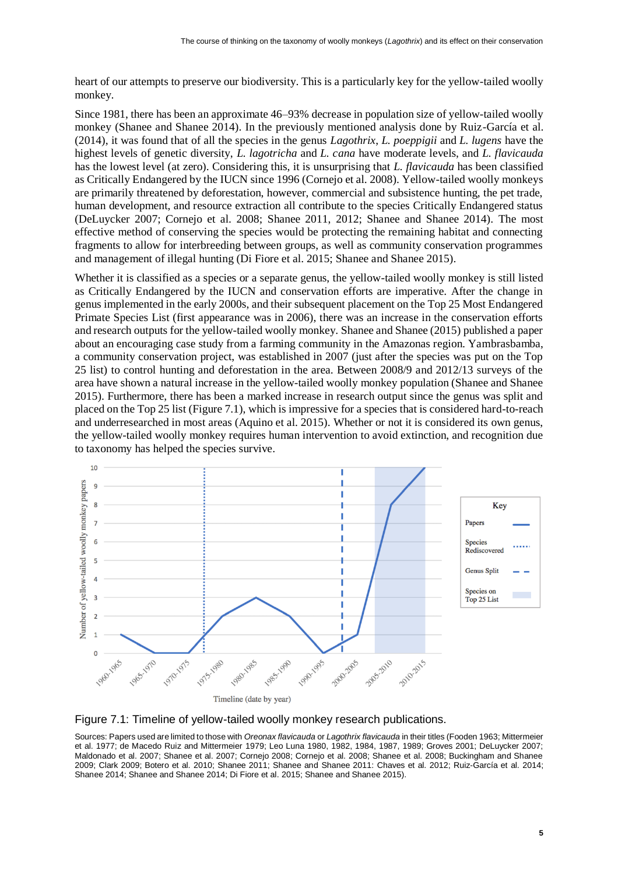heart of our attempts to preserve our biodiversity. This is a particularly key for the yellow-tailed woolly monkey*.*

Since 1981, there has been an approximate 46–93% decrease in population size of yellow-tailed woolly monkey (Shanee and Shanee 2014). In the previously mentioned analysis done by Ruiz-García et al. (2014), it was found that of all the species in the genus *Lagothrix*, *L. poeppigii* and *L. lugens* have the highest levels of genetic diversity, *L. lagotricha* and *L. cana* have moderate levels, and *L. flavicauda* has the lowest level (at zero). Considering this, it is unsurprising that *L. flavicauda* has been classified as Critically Endangered by the IUCN since 1996 (Cornejo et al. 2008). Yellow-tailed woolly monkeys are primarily threatened by deforestation, however, commercial and subsistence hunting, the pet trade, human development, and resource extraction all contribute to the species Critically Endangered status (DeLuycker 2007; Cornejo et al. 2008; Shanee 2011, 2012; Shanee and Shanee 2014). The most effective method of conserving the species would be protecting the remaining habitat and connecting fragments to allow for interbreeding between groups, as well as community conservation programmes and management of illegal hunting (Di Fiore et al. 2015; Shanee and Shanee 2015).

Whether it is classified as a species or a separate genus, the yellow-tailed woolly monkey is still listed as Critically Endangered by the IUCN and conservation efforts are imperative. After the change in genus implemented in the early 2000s, and their subsequent placement on the Top 25 Most Endangered Primate Species List (first appearance was in 2006), there was an increase in the conservation efforts and research outputs for the yellow-tailed woolly monkey. Shanee and Shanee (2015) published a paper about an encouraging case study from a farming community in the Amazonas region. Yambrasbamba, a community conservation project, was established in 2007 (just after the species was put on the Top 25 list) to control hunting and deforestation in the area. Between 2008/9 and 2012/13 surveys of the area have shown a natural increase in the yellow-tailed woolly monkey population (Shanee and Shanee 2015). Furthermore, there has been a marked increase in research output since the genus was split and placed on the Top 25 list (Figure 7.1), which is impressive for a species that is considered hard-to-reach and underresearched in most areas (Aquino et al. 2015). Whether or not it is considered its own genus, the yellow-tailed woolly monkey requires human intervention to avoid extinction, and recognition due to taxonomy has helped the species survive.





Sources: Papers used are limited to those with *Oreonax flavicauda* or *Lagothrix flavicauda* in their titles (Fooden 1963; Mittermeier et al. 1977; de Macedo Ruiz and Mittermeier 1979; Leo Luna 1980, 1982, 1984, 1987, 1989; Groves 2001; DeLuycker 2007; Maldonado et al. 2007; Shanee et al. 2007; Cornejo 2008; Cornejo et al. 2008; Shanee et al. 2008; Buckingham and Shanee 2009; Clark 2009; Botero et al. 2010; Shanee 2011; Shanee and Shanee 2011: Chaves et al. 2012; Ruiz-García et al. 2014; Shanee 2014; Shanee and Shanee 2014; Di Fiore et al. 2015; Shanee and Shanee 2015).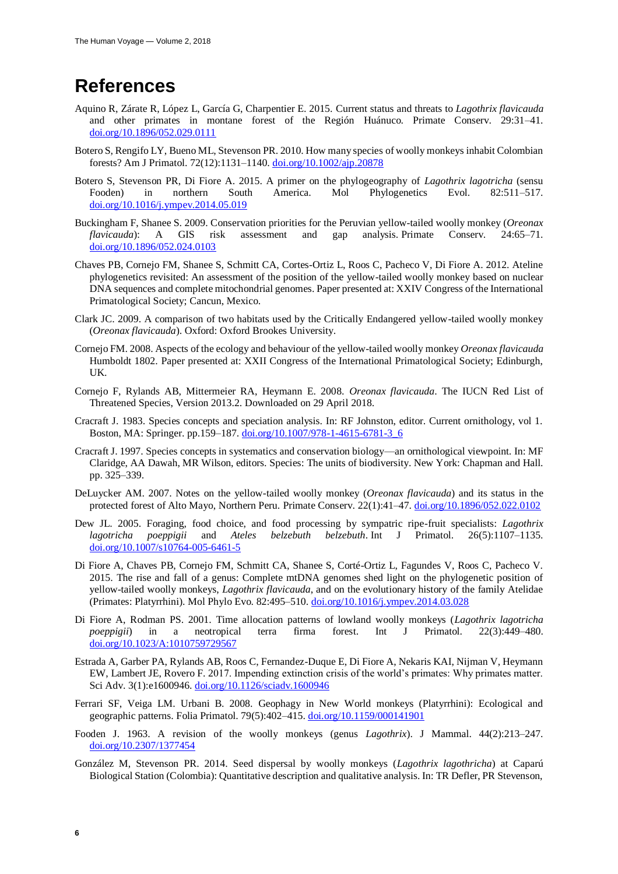### **References**

- Aquino R, Zárate R, López L, García G, Charpentier E. 2015. Current status and threats to *Lagothrix flavicauda* and other primates in montane forest of the Región Huánuco. Primate Conserv. 29:31–41. [doi.org/10.1896/052.029.0111](https://doi.org/10.1896/052.029.0111)
- Botero S, Rengifo LY, Bueno ML, Stevenson PR. 2010. How many species of woolly monkeys inhabit Colombian forests? Am J Primatol. 72(12):1131–1140. [doi.org/10.1002/ajp.20878](https://doi.org/10.1002/ajp.20878)
- Botero S, Stevenson PR, Di Fiore A. 2015. A primer on the phylogeography of *Lagothrix lagotricha* (sensu Fooden) in northern South America. Mol Phylogenetics Evol. 82:511–517. [doi.org/10.1016/j.ympev.2014.05.019](https://doi.org/10.1016/j.ympev.2014.05.019)
- Buckingham F, Shanee S. 2009. Conservation priorities for the Peruvian yellow-tailed woolly monkey (*Oreonax flavicauda*): A GIS risk assessment and gap analysis. Primate Conserv. 24:65–71. [doi.org/10.1896/052.024.0103](https://doi.org/10.1896/052.024.0103)
- Chaves PB, Cornejo FM, Shanee S, Schmitt CA, Cortes-Ortiz L, Roos C, Pacheco V, Di Fiore A. 2012. Ateline phylogenetics revisited: An assessment of the position of the yellow-tailed woolly monkey based on nuclear DNA sequences and complete mitochondrial genomes. Paper presented at: XXIV Congress of the International Primatological Society; Cancun, Mexico.
- Clark JC. 2009. A comparison of two habitats used by the Critically Endangered yellow-tailed woolly monkey (*Oreonax flavicauda*). Oxford: Oxford Brookes University.
- Cornejo FM. 2008. Aspects of the ecology and behaviour of the yellow-tailed woolly monkey *Oreonax flavicauda* Humboldt 1802. Paper presented at: XXII Congress of the International Primatological Society; Edinburgh, UK.
- Cornejo F, Rylands AB, Mittermeier RA, Heymann E. 2008. *Oreonax flavicauda*. The IUCN Red List of Threatened Species, Version 2013.2. Downloaded on 29 April 2018.
- Cracraft J. 1983. Species concepts and speciation analysis. In: RF Johnston, editor. Current ornithology, vol 1. Boston, MA: Springer. pp.159–187. [doi.org/10.1007/978-1-4615-6781-3\\_6](https://doi.org/10.1007/978-1-4615-6781-3_6)
- Cracraft J. 1997. Species concepts in systematics and conservation biology—an ornithological viewpoint*.* In: MF Claridge, AA Dawah, MR Wilson, editors. Species: The units of biodiversity. New York: Chapman and Hall. pp. 325–339.
- DeLuycker AM. 2007. Notes on the yellow-tailed woolly monkey (*Oreonax flavicauda*) and its status in the protected forest of Alto Mayo, Northern Peru. Primate Conserv. 22(1):41–47. [doi.org/10.1896/052.022.0102](https://doi.org/10.1896/052.022.0102)
- Dew JL. 2005. Foraging, food choice, and food processing by sympatric ripe-fruit specialists: *Lagothrix lagotricha poeppigii* and *Ateles belzebuth belzebuth*. Int J Primatol. 26(5):1107–1135. [doi.org/10.1007/s10764-005-6461-5](https://doi.org/10.1007/s10764-005-6461-5)
- Di Fiore A, Chaves PB, Cornejo FM, Schmitt CA, Shanee S, Corté-Ortiz L, Fagundes V, Roos C, Pacheco V. 2015. The rise and fall of a genus: Complete mtDNA genomes shed light on the phylogenetic position of yellow-tailed woolly monkeys, *Lagothrix flavicauda*, and on the evolutionary history of the family Atelidae (Primates: Platyrrhini). Mol Phylo Evo. 82:495–510. [doi.org/10.1016/j.ympev.2014.03.028](https://doi.org/10.1016/j.ympev.2014.03.028)
- Di Fiore A, Rodman PS. 2001. Time allocation patterns of lowland woolly monkeys (*Lagothrix lagotricha poeppigii*) in a neotropical terra firma forest. Int J Primatol. 22(3):449–480. [doi.org/10.1023/A:1010759729567](https://doi.org/10.1023/A:1010759729567)
- Estrada A, Garber PA, Rylands AB, Roos C, Fernandez-Duque E, Di Fiore A, Nekaris KAI, Nijman V, Heymann EW, Lambert JE, Rovero F. 2017. Impending extinction crisis of the world's primates: Why primates matter. Sci Adv. 3(1):e1600946. [doi.org/10.1126/sciadv.1600946](https://doi.org/10.1126/sciadv.1600946)
- Ferrari SF, Veiga LM. Urbani B. 2008. Geophagy in New World monkeys (Platyrrhini): Ecological and geographic patterns. Folia Primatol. 79(5):402–415[. doi.org/10.1159/000141901](https://doi.org/10.1159/000141901)
- Fooden J. 1963. A revision of the woolly monkeys (genus *Lagothrix*). J Mammal. 44(2):213–247. [doi.org/10.2307/1377454](https://doi.org/10.2307/1377454)
- González M, Stevenson PR. 2014. Seed dispersal by woolly monkeys (*Lagothrix lagothricha*) at Caparú Biological Station (Colombia): Quantitative description and qualitative analysis. In: TR Defler, PR Stevenson,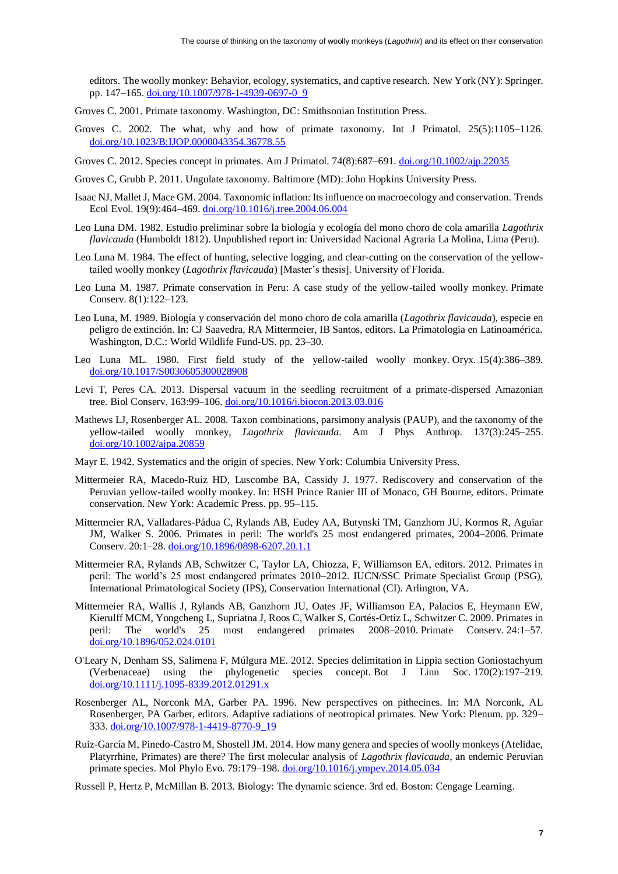editors. The woolly monkey: Behavior, ecology, systematics, and captive research. New York (NY): Springer. pp. 147–165. [doi.org/10.1007/978-1-4939-0697-0\\_9](https://doi.org/10.1007/978-1-4939-0697-0_9)

- Groves C. 2001. Primate taxonomy. Washington, DC: Smithsonian Institution Press.
- Groves C. 2002. The what, why and how of primate taxonomy. Int J Primatol. 25(5):1105–1126. [doi.org/10.1023/B:IJOP.0000043354.36778.55](https://doi.org/10.1023/B:IJOP.0000043354.36778.55)
- Groves C. 2012. Species concept in primates. Am J Primatol. 74(8):687–691. [doi.org/10.1002/ajp.22035](https://doi.org/10.1002/ajp.22035)
- Groves C, Grubb P. 2011. Ungulate taxonomy. Baltimore (MD): John Hopkins University Press.
- Isaac NJ, Mallet J, Mace GM. 2004. Taxonomic inflation: Its influence on macroecology and conservation. Trends Ecol Evol. 19(9):464–469. [doi.org/10.1016/j.tree.2004.06.004](https://doi.org/10.1016/j.tree.2004.06.004)
- Leo Luna DM. 1982. Estudio preliminar sobre la biología y ecología del mono choro de cola amarilla *Lagothrix flavicauda* (Humboldt 1812). Unpublished report in: Universidad Nacional Agraria La Molina, Lima (Peru).
- Leo Luna M. 1984. The effect of hunting, selective logging, and clear-cutting on the conservation of the yellowtailed woolly monkey (*Lagothrix flavicauda*) [Master's thesis]. University of Florida.
- Leo Luna M. 1987. Primate conservation in Peru: A case study of the yellow-tailed woolly monkey. Primate Conserv. 8(1):122–123.
- Leo Luna, M. 1989. Biología y conservación del mono choro de cola amarilla (*Lagothrix flavicauda*), especie en peligro de extinción. In: CJ Saavedra, RA Mittermeier, IB Santos, editors. La Primatologia en Latinoamérica. Washington, D.C.: World Wildlife Fund-US. pp. 23–30.
- Leo Luna ML. 1980. First field study of the yellow-tailed woolly monkey. Oryx. 15(4):386–389. [doi.org/10.1017/S0030605300028908](https://doi.org/10.1017/S0030605300028908)
- Levi T, Peres CA. 2013. Dispersal vacuum in the seedling recruitment of a primate-dispersed Amazonian tree. Biol Conserv. 163:99–106. [doi.org/10.1016/j.biocon.2013.03.016](https://doi.org/10.1016/j.biocon.2013.03.016)
- Mathews LJ, Rosenberger AL. 2008. Taxon combinations, parsimony analysis (PAUP), and the taxonomy of the yellow-tailed woolly monkey, *Lagothrix flavicauda*. Am J Phys Anthrop*.* 137(3):245–255. [doi.org/10.1002/ajpa.20859](https://doi.org/10.1002/ajpa.20859)
- Mayr E. 1942. Systematics and the origin of species. New York: Columbia University Press.
- Mittermeier RA, Macedo-Ruiz HD, Luscombe BA, Cassidy J. 1977. Rediscovery and conservation of the Peruvian yellow-tailed woolly monkey. In: HSH Prince Ranier III of Monaco, GH Bourne, editors. Primate conservation. New York: Academic Press. pp. 95–115.
- Mittermeier RA, Valladares-Pádua C, Rylands AB, Eudey AA, Butynski TM, Ganzhorn JU, Kormos R, Aguiar JM, Walker S. 2006. Primates in peril: The world's 25 most endangered primates, 2004–2006. Primate Conserv. 20:1–28. [doi.org/10.1896/0898-6207.20.1.1](https://doi.org/10.1896/0898-6207.20.1.1)
- Mittermeier RA, Rylands AB, Schwitzer C, Taylor LA, Chiozza, F, Williamson EA, editors. 2012. Primates in peril: The world's 25 most endangered primates 2010–2012. IUCN/SSC Primate Specialist Group (PSG), International Primatological Society (IPS), Conservation International (CI). Arlington, VA.
- Mittermeier RA, Wallis J, Rylands AB, Ganzhorn JU, Oates JF, Williamson EA, Palacios E, Heymann EW, Kierulff MCM, Yongcheng L, Supriatna J, Roos C, Walker S, Cortés-Ortiz L, Schwitzer C. 2009. Primates in peril: The world's 25 most endangered primates 2008–2010. Primate Conserv. 24:1–57. [doi.org/10.1896/052.024.0101](https://doi.org/10.1896/052.024.0101)
- O'Leary N, Denham SS, Salimena F, Múlgura ME. 2012. Species delimitation in Lippia section Goniostachyum (Verbenaceae) using the phylogenetic species concept. Bot J Linn Soc. 170(2):197–219. [doi.org/10.1111/j.1095-8339.2012.01291.x](https://doi.org/10.1111/j.1095-8339.2012.01291.x)
- Rosenberger AL, Norconk MA, Garber PA. 1996. New perspectives on pithecines. In: MA Norconk, AL Rosenberger, PA Garber, editors. Adaptive radiations of neotropical primates. New York: Plenum. pp. 329– 333. [doi.org/10.1007/978-1-4419-8770-9\\_19](https://doi.org/10.1007/978-1-4419-8770-9_19)
- Ruiz-García M, Pinedo-Castro M, Shostell JM. 2014. How many genera and species of woolly monkeys (Atelidae, Platyrrhine, Primates) are there? The first molecular analysis of *Lagothrix flavicauda*, an endemic Peruvian primate species. Mol Phylo Evo. 79:179–198. [doi.org/10.1016/j.ympev.2014.05.034](https://doi.org/10.1016/j.ympev.2014.05.034)
- Russell P, Hertz P, McMillan B. 2013. Biology: The dynamic science. 3rd ed. Boston: Cengage Learning.